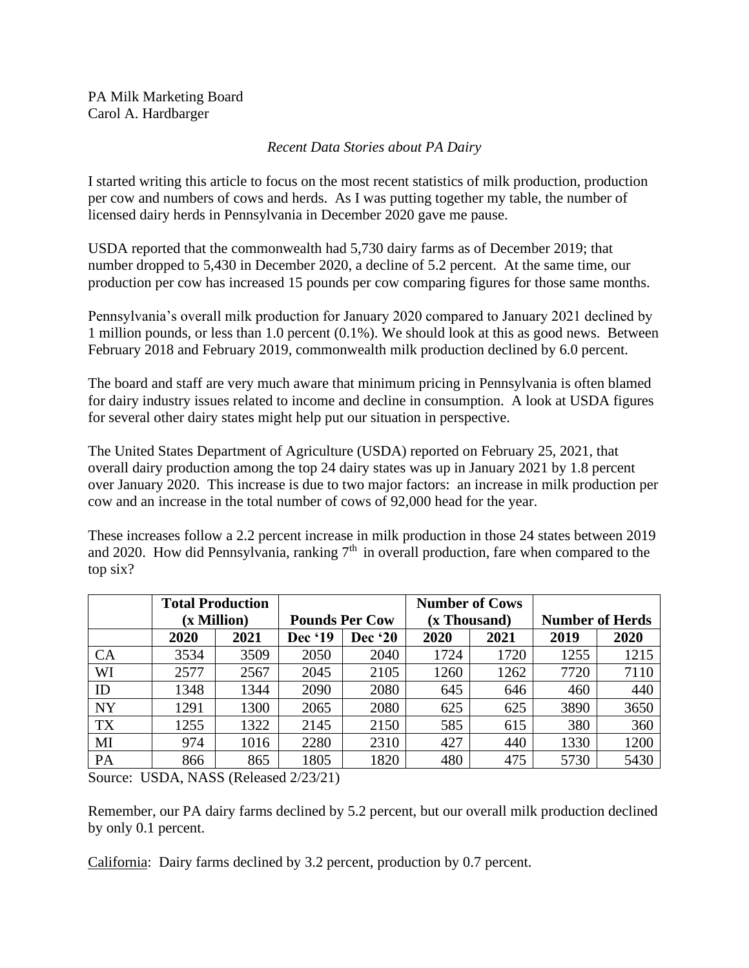PA Milk Marketing Board Carol A. Hardbarger

## *Recent Data Stories about PA Dairy*

I started writing this article to focus on the most recent statistics of milk production, production per cow and numbers of cows and herds. As I was putting together my table, the number of licensed dairy herds in Pennsylvania in December 2020 gave me pause.

USDA reported that the commonwealth had 5,730 dairy farms as of December 2019; that number dropped to 5,430 in December 2020, a decline of 5.2 percent. At the same time, our production per cow has increased 15 pounds per cow comparing figures for those same months.

Pennsylvania's overall milk production for January 2020 compared to January 2021 declined by 1 million pounds, or less than 1.0 percent (0.1%). We should look at this as good news. Between February 2018 and February 2019, commonwealth milk production declined by 6.0 percent.

The board and staff are very much aware that minimum pricing in Pennsylvania is often blamed for dairy industry issues related to income and decline in consumption. A look at USDA figures for several other dairy states might help put our situation in perspective.

The United States Department of Agriculture (USDA) reported on February 25, 2021, that overall dairy production among the top 24 dairy states was up in January 2021 by 1.8 percent over January 2020. This increase is due to two major factors: an increase in milk production per cow and an increase in the total number of cows of 92,000 head for the year.

These increases follow a 2.2 percent increase in milk production in those 24 states between 2019 and 2020. How did Pennsylvania, ranking  $7<sup>th</sup>$  in overall production, fare when compared to the top six?

|           | <b>Total Production</b><br>(x Million) |      | <b>Pounds Per Cow</b> |         | <b>Number of Cows</b><br>(x Thousand) |      | <b>Number of Herds</b> |      |
|-----------|----------------------------------------|------|-----------------------|---------|---------------------------------------|------|------------------------|------|
|           | 2020                                   | 2021 | Dec '19               | Dec '20 | 2020                                  | 2021 | 2019                   | 2020 |
| <b>CA</b> | 3534                                   | 3509 | 2050                  | 2040    | 1724                                  | 1720 | 1255                   | 1215 |
| WI        | 2577                                   | 2567 | 2045                  | 2105    | 1260                                  | 1262 | 7720                   | 7110 |
| ID        | 1348                                   | 1344 | 2090                  | 2080    | 645                                   | 646  | 460                    | 440  |
| <b>NY</b> | 1291                                   | 1300 | 2065                  | 2080    | 625                                   | 625  | 3890                   | 3650 |
| <b>TX</b> | 1255                                   | 1322 | 2145                  | 2150    | 585                                   | 615  | 380                    | 360  |
| MI        | 974                                    | 1016 | 2280                  | 2310    | 427                                   | 440  | 1330                   | 1200 |
| PA        | 866                                    | 865  | 1805                  | 1820    | 480                                   | 475  | 5730                   | 5430 |

Source: USDA, NASS (Released 2/23/21)

Remember, our PA dairy farms declined by 5.2 percent, but our overall milk production declined by only 0.1 percent.

California: Dairy farms declined by 3.2 percent, production by 0.7 percent.